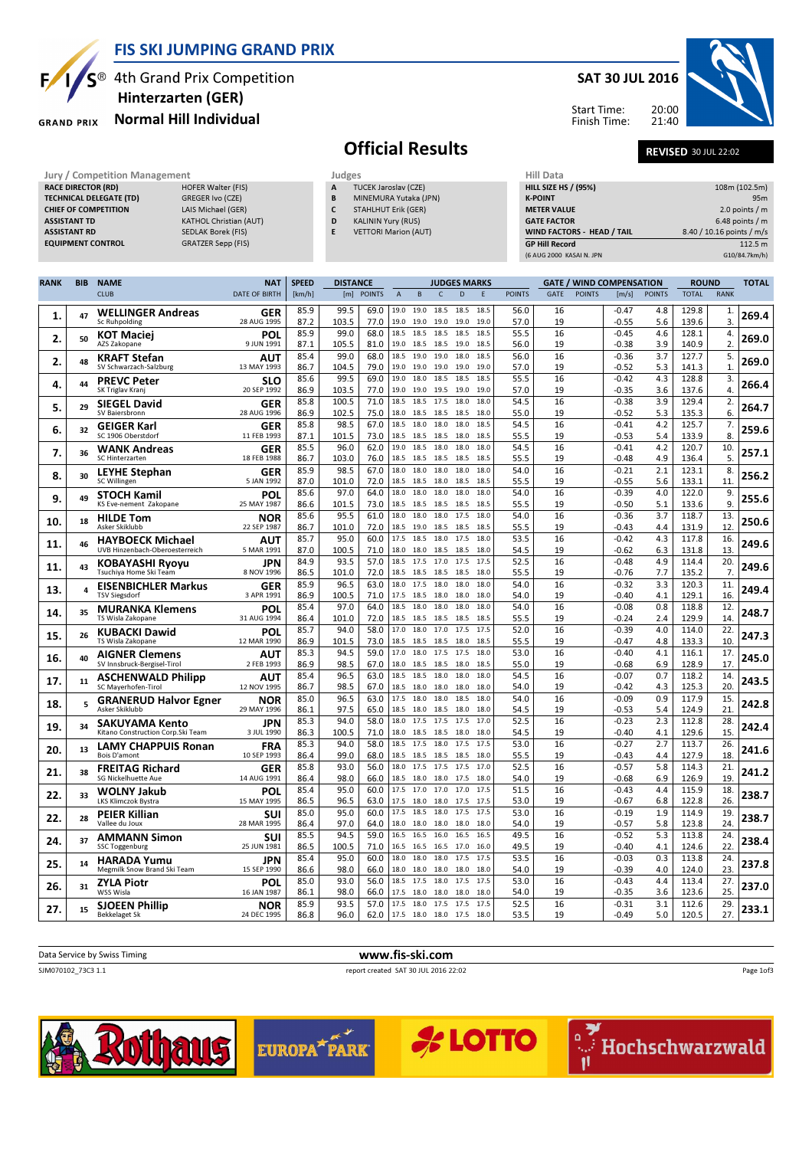

**RACE DIRECTOR (RD)** 

### FIS SKI JUMPING GRAND PRIX

S<sup>®</sup> 4th Grand Prix Competition Hinterzarten (GER)

TECHNICAL DELEGATE (TD) GREGER Ivo (CZE) CHIEF OF COMPETITION LAIS Michael (GER) ASSISTANT TD KATHOL Christian (AUT) ASSISTANT RD SEDLAK Borek (FIS) EQUIPMENT CONTROL GRATZER Sepp (FIS)

#### Normal Hill Individual **GRAND PRIX**

#### SAT 30 JUL 2016

20:00

Start Time: Finish Time:



# **Official Results** REVISED 30 JUL 22:02

TUCEK Jaroslav (CZE)

B MINEMURA Yutaka (JPN) C STAHLHUT Erik (GER) D KALININ Yury (RUS) E VETTORI Marion (AUT)

Jury / Competition Management **Judges** Judges Judges Hill Data<br> **RACE DIRECTOR (RD)** HILL SIZE HOFER Walter (FIS) **A** TUCEK Jaroslav (CZE) HILL SIZE HILL SIZE HILL SIZE HILL SIZE HS / (95%) 108m (102.5m) **K-POINT** 95m METER VALUE 2.0 points / m GATE FACTOR 6.48 points / m WIND FACTORS - HEAD / TAIL 8.40 / 10.16 points / m/s GP Hill Record 112.5 m<br>
6 AUG 2000 KASAI N. JPN 610/84.7km/h)

(6 AUG 2000 KASAI N. JPN

|             |            |                                                           |                      |              |               | <b>DISTANCE</b><br><b>JUDGES MARKS</b> |                   |                   |              |                |              |               |             |               |                                 |               |                |                |              |
|-------------|------------|-----------------------------------------------------------|----------------------|--------------|---------------|----------------------------------------|-------------------|-------------------|--------------|----------------|--------------|---------------|-------------|---------------|---------------------------------|---------------|----------------|----------------|--------------|
| <b>RANK</b> | <b>BIB</b> | <b>NAME</b><br><b>CLUB</b>                                | <b>NAT</b>           | <b>SPEED</b> |               |                                        |                   |                   | $\mathsf{C}$ | $\overline{D}$ |              |               | <b>GATF</b> | <b>POINTS</b> | <b>GATE / WIND COMPENSATION</b> |               | <b>ROUND</b>   |                | <b>TOTAL</b> |
|             |            |                                                           | <b>DATE OF BIRTH</b> | [km/h]       | [m]           | <b>POINTS</b>                          | $\overline{A}$    | B                 |              |                |              | <b>POINTS</b> |             |               | [m/s]                           | <b>POINTS</b> | <b>TOTAL</b>   | <b>RANK</b>    |              |
| 1.          | 47         | <b>WELLINGER Andreas</b>                                  | GER                  | 85.9         | 99.5          | 69.0                                   |                   | 19.0 19.0         | 18.5         | 18.5           | 18.5         | 56.0          | 16          |               | $-0.47$                         | 4.8           | 129.8          | 1.             | 269.4        |
|             |            | Sc Ruhpolding                                             | 28 AUG 1995          | 87.2         | 103.5         | 77.0                                   | 19.0              | 19.0              | 19.0         | 19.0           | 19.0         | 57.0          | 19          |               | $-0.55$                         | 5.6           | 139.6          | 3.             |              |
| 2.          | 50         | KOT Maciei<br>AZS Zakopane                                | POL<br>9 JUN 1991    | 85.9         | 99.0<br>105.5 | 68.0                                   | 18.5<br>19.0      | 18.5<br>18.5      | 18.5<br>18.5 | 18.5<br>19.0   | 18.5<br>18.5 | 55.5          | 16          |               | $-0.45$                         | 4.6           | 128.1          | 4.<br>2.       | 269.0        |
|             |            |                                                           |                      | 87.1<br>85.4 | 99.0          | 81.0<br>68.0                           | 18.5              | 19.0              | 19.0         | 18.0           | 18.5         | 56.0<br>56.0  | 19<br>16    |               | -0.38<br>$-0.36$                | 3.9<br>3.7    | 140.9<br>127.7 | 5.             |              |
| 2.          | 48         | <b>KRAFT Stefan</b><br>SV Schwarzach-Salzburg             | AUT<br>13 MAY 1993   | 86.7         | 104.5         | 79.0                                   | 19.0              | 19.0              | 19.0         | 19.0           | 19.0         | 57.0          | 19          |               | $-0.52$                         | 5.3           | 141.3          | $\mathbf{1}$   | 269.0        |
|             |            | <b>PREVC Peter</b>                                        | SLO                  | 85.6         | 99.5          | 69.0                                   | 19.0              | 18.0              | 18.5         | 18.5           | 18.5         | 55.5          | 16          |               | $-0.42$                         | 4.3           | 128.8          | 3.             |              |
| 4.          | 44         | SK Triglav Kranj                                          | 20 SEP 1992          | 86.9         | 103.5         | 77.0                                   | 19.0              | 19.0              | 19.5         | 19.0           | 19.0         | 57.0          | 19          |               | $-0.35$                         | 3.6           | 137.6          | $\overline{4}$ | 266.4        |
| 5.          | 29         | <b>SIEGEL David</b>                                       | <b>GER</b>           | 85.8         | 100.5         | 71.0                                   | 18.5              | 18.5              | 17.5         | 18.0           | 18.0         | 54.5          | 16          |               | $-0.38$                         | 3.9           | 129.4          | 2.             | 264.7        |
|             |            | SV Baiersbronn                                            | 28 AUG 1996          | 86.9         | 102.5         | 75.0                                   | 18.0              | 18.5              | 18.5         | 18.5           | 18.0         | 55.0          | 19          |               | $-0.52$                         | 5.3           | 135.3          | 6.             |              |
| 6.          | 32         | <b>GEIGER Karl</b>                                        | GER                  | 85.8         | 98.5          | 67.0                                   |                   | 18.5 18.0         | 18.0         | 18.0           | 18.5         | 54.5          | 16          |               | $-0.41$                         | 4.2           | 125.7          | 7.             | 259.6        |
|             |            | SC 1906 Oberstdorf                                        | 11 FFB 1993          | 87.1         | 101.5         | 73.0                                   | 18.5<br>19.0      | 18.5<br>18.5      | 18.5<br>18.0 | 18.0<br>18.0   | 18.5<br>18.0 | 55.5          | 19          |               | $-0.53$                         | 5.4           | 133.9<br>120.7 | 8.             |              |
| 7.          | 36         | WANK Andreas<br><b>SC Hinterzarten</b>                    | GER<br>18 FEB 1988   | 85.5<br>86.7 | 96.0<br>103.0 | 62.0<br>76.0                           | 18.5              | 18.5              | 18.5         | 18.5           | 18.5         | 54.5<br>55.5  | 16<br>19    |               | $-0.41$<br>$-0.48$              | 4.2<br>4.9    | 136.4          | 10.<br>5.      | 257.1        |
|             |            | <b>LEYHE Stephan</b>                                      | <b>GER</b>           | 85.9         | 98.5          | 67.0                                   | 18.0              | 18.0              | 18.0         | 18.0           | 18.0         | 54.0          | 16          |               | $-0.21$                         | 2.1           | 123.1          | 8.             |              |
| 8.          | 30         | SC Willingen                                              | 5 JAN 1992           | 87.0         | 101.0         | 72.0                                   | 18.5              | 18.5              | 18.0         | 18.5           | 18.5         | 55.5          | 19          |               | $-0.55$                         | 5.6           | 133.1          | 11.            | 256.2        |
| 9.          | 49         | STOCH Kamil                                               | POL                  | 85.6         | 97.0          | 64.0                                   | 18.0              | 18.0              | 18.0         | 18.0           | 18.0         | 54.0          | 16          |               | $-0.39$                         | 4.0           | 122.0          | 9.             | 255.6        |
|             |            | KS Eve-nement Zakopane                                    | 25 MAY 1987          | 86.6         | 101.5         | 73.0                                   | 18.5              | 18.5              | 18.5         | 18.5           | 18.5         | 55.5          | 19          |               | $-0.50$                         | 5.1           | 133.6          | 9.             |              |
| 10.         | 18         | <b>HILDE Tom</b>                                          | NOR                  | 85.6         | 95.5          | 61.0                                   | 18.0              | 18.0              | 18.0         | 17.5           | 18.0         | 54.0          | 16          |               | $-0.36$                         | 3.7           | 118.7          | 13.            | 250.6        |
|             |            | Asker Skiklubb                                            | 22 SEP 1987          | 86.7         | 101.0         | 72.0                                   | 18.5<br>17.5 18.5 | 19.0              | 18.5<br>18.0 | 18.5<br>17.5   | 18.5<br>18.0 | 55.5          | 19          |               | $-0.43$                         | 4.4           | 131.9          | 12             |              |
| 11.         | 46         | <b>HAYBOECK Michael</b><br>UVB Hinzenbach-Oberoesterreich | AUT<br>5 MAR 1991    | 85.7<br>87.0 | 95.0<br>100.5 | 60.0<br>71.0                           | 18.0              | 18.0              | 18.5         | 18.5           | 18.0         | 53.5<br>54.5  | 16<br>19    |               | $-0.42$<br>$-0.62$              | 4.3<br>6.3    | 117.8<br>131.8 | 16.<br>13      | 249.6        |
|             |            |                                                           | JPN                  | 84.9         | 93.5          | 57.0                                   | 18.5              | 17.5              | 17.0         | 17.5           | 17.5         | 52.5          | 16          |               | $-0.48$                         | 4.9           | 114.4          | 20.            |              |
| 11.         | 43         | KOBAYASHI Ryoyu<br>Tsuchiya Home Ski Team                 | 8 NOV 1996           | 86.5         | 101.0         | 72.0                                   | 18.5 18.5         |                   | 18.5         | 18.5           | 18.0         | 55.5          | 19          |               | $-0.76$                         | 7.7           | 135.2          | 7.             | 249.6        |
| 13.         | 4          | <b>EISENBICHLER Markus</b>                                | GER                  | 85.9         | 96.5          | 63.0                                   | 18.0              | 17.5              | 18.0         | 18.0           | 18.0         | 54.0          | 16          |               | $-0.32$                         | 3.3           | 120.3          | 11.            | 249.4        |
|             |            | <b>TSV Siegsdorf</b>                                      | 3 APR 1991           | 86.9         | 100.5         | 71.0                                   | 17.5              | 18.5              | 18.0         | 18.0           | 18.0         | 54.0          | 19          |               | $-0.40$                         | 4.1           | 129.1          | 16.            |              |
| 14.         | 35         | <b>MURANKA Klemens</b>                                    | POL                  | 85.4         | 97.0          | 64.0                                   | 18.5              | 18.0              | 18.0         | 18.0           | 18.0         | 54.0          | 16          |               | $-0.08$                         | 0.8           | 118.8          | 12             | 248.7        |
|             |            | TS Wisla Zakopane                                         | 31 AUG 1994          | 86.4         | 101.0         | 72.0                                   | 18.5<br>17.0      | 18.5<br>18.0      | 18.5<br>17.0 | 18.5<br>17.5   | 18.5<br>17.5 | 55.5          | 19          |               | $-0.24$                         | 2.4<br>4.0    | 129.9          | 14<br>22.      |              |
| 15.         | 26         | <b>KUBACKI Dawid</b><br>TS Wisla Zakopane                 | POL<br>12 MAR 1990   | 85.7<br>86.9 | 94.0<br>101.5 | 58.0<br>73.0                           | 18.5              | 18.5              | 18.5         | 18.0           | 18.5         | 52.0<br>55.5  | 16<br>19    |               | $-0.39$<br>$-0.47$              | 4.8           | 114.0<br>133.3 | 10.            | 247.3        |
|             |            | <b>AIGNER Clemens</b>                                     | AUT                  | 85.3         | 94.5          | 59.0                                   |                   | 17.0 18.0         | 17.5         | 17.5           | 18.0         | 53.0          | 16          |               | $-0.40$                         | 4.1           | 116.1          | 17.            |              |
| 16.         | 40         | SV Innsbruck-Bergisel-Tirol                               | 2 FEB 1993           | 86.9         | 98.5          | 67.0                                   | 18.0              | 18.5              | 18.5         | 18.0           | 18.5         | 55.0          | 19          |               | $-0.68$                         | 6.9           | 128.9          | 17             | 245.0        |
| 17.         | 11         | <b>ASCHENWALD Philipp</b>                                 | AUT                  | 85.4         | 96.5          | 63.0                                   | 18.5              | 18.5              | 18.0         | 18.0           | 18.0         | 54.5          | 16          |               | $-0.07$                         | 0.7           | 118.2          | 14             | 243.5        |
|             |            | SC Mayerhofen-Tirol                                       | 12 NOV 1995          | 86.7         | 98.5          | 67.0                                   | 18.5              | 18.0              | 18.0         | 18.0           | 18.0         | 54.0          | 19          |               | $-0.42$                         | 4.3           | 125.3          | 20.            |              |
| 18.         | 5          | <b>GRANERUD Halvor Egner</b>                              | NOR                  | 85.0         | 96.5          | 63.0                                   | 17.5              | 18.0              | 18.0         | 18.5           | 18.0         | 54.0          | 16          |               | $-0.09$                         | 0.9           | 117.9          | 15.            | 242.8        |
|             |            | Asker Skiklubb                                            | 29 MAY 1996          | 86.1<br>85.3 | 97.5<br>94.0  | 65.0<br>58.0                           | 18.5<br>18.0      | 18.0<br>17.5      | 18.5<br>17.5 | 18.0<br>17.5   | 18.0<br>17.0 | 54.5<br>52.5  | 19<br>16    |               | $-0.53$<br>$-0.23$              | 5.4<br>2.3    | 124.9<br>112.8 | 21.<br>28      |              |
| 19.         | 34         | SAKUYAMA Kento<br>Kitano Construction Corp. Ski Team      | JPN<br>3 JUL 1990    | 86.3         | 100.5         | 71.0                                   | 18.0              | 18.5              | 18.5         | 18.0           | 18.0         | 54.5          | 19          |               | $-0.40$                         | 4.1           | 129.6          | 15             | 242.4        |
|             |            | <b>LAMY CHAPPUIS Ronan</b>                                | <b>FRA</b>           | 85.3         | 94.0          | 58.0                                   | 18.5              | 17.5              | 18.0         | 17.5           | 17.5         | 53.0          | 16          |               | $-0.27$                         | 2.7           | 113.7          | 26.            |              |
| 20.         | 13         | Bois D'amont                                              | 10 SEP 1993          | 86.4         | 99.0          | 68.0                                   | 18.5              | 18.5              | 18.5         | 18.5           | 18.0         | 55.5          | 19          |               | $-0.43$                         | 4.4           | 127.9          | 18             | 241.6        |
| 21.         | 38         | <b>FREITAG Richard</b>                                    | <b>GER</b>           | 85.8         | 93.0          | 56.0                                   | 18.0 17.5         |                   | 17.5         | 17.5           | 17.0         | 52.5          | 16          |               | $-0.57$                         | 5.8           | 114.3          | 21.            | 241.2        |
|             |            | SG Nickelhuette Aue                                       | 14 AUG 1991          | 86.4         | 98.0          | 66.0                                   | 18.5              | 18.0              | 18.0         | 17.5           | 18.0         | 54.0          | 19          |               | $-0.68$                         | 6.9           | 126.9          | 19.            |              |
| 22.         | 33         | WOLNY Jakub<br>LKS Klimczok Bystra                        | POL<br>15 MAY 1995   | 85.4<br>86.5 | 95.0<br>96.5  | 60.0<br>63.0                           | 17.5<br>17.5      | 17.0<br>18.0      | 17.0<br>18.0 | 17.0<br>17.5   | 17.5<br>17.5 | 51.5<br>53.0  | 16<br>19    |               | $-0.43$<br>$-0.67$              | 4.4<br>6.8    | 115.9<br>122.8 | 18<br>26.      | 238.7        |
|             |            |                                                           |                      | 85.0         | 95.0          | 60.0                                   | 17.5              | 18.5              | 18.0         | 17.5           | 17.5         | 53.0          | 16          |               | $-0.19$                         | 1.9           | 114.9          | 19.            |              |
| 22.         | 28         | <b>PEIER Killian</b><br>Vallee du Joux                    | SUI<br>28 MAR 1995   | 86.4         | 97.0          | 64.0                                   | 18.0              | 18.0              | 18.0         | 18.0           | 18.0         | 54.0          | 19          |               | $-0.57$                         | 5.8           | 123.8          | 24             | 238.7        |
|             |            | <b>AMMANN Simon</b>                                       | SUI                  | 85.5         | 94.5          | 59.0                                   | 16.5              | 16.5              | 16.0         | 16.5           | 16.5         | 49.5          | 16          |               | $-0.52$                         | 5.3           | 113.8          | 24             |              |
| 24.         | 37         | <b>SSC Toggenburg</b>                                     | 25 JUN 1981          | 86.5         | 100.5         | 71.0                                   | 16.5              | 16.5              | 16.5         | 17.0           | 16.0         | 49.5          | 19          |               | $-0.40$                         | 4.1           | 124.6          | 22             | 238.4        |
| 25.         | 14         | <b>HARADA Yumu</b>                                        | <b>JPN</b>           | 85.4         | 95.0          | 60.0                                   | 18.0              | 18.0              | 18.0         | 17.5           | 17.5         | 53.5          | 16          |               | $-0.03$                         | 0.3           | 113.8          | 24.            | 237.8        |
|             |            | Megmilk Snow Brand Ski Team                               | 15 SEP 1990          | 86.6         | 98.0          | 66.0                                   | 18.0              | 18.0              | 18.0         | 18.0           | 18.0         | 54.0          | 19          |               | $-0.39$                         | 4.0           | 124.0          | 23.            |              |
| 26.         | 31         | ZYLA Piotr<br><b>WSS Wisla</b>                            | POL<br>16 JAN 1987   | 85.0<br>86.1 | 93.0<br>98.0  | 56.0<br>66.0                           | 17.5              | 18.5 17.5<br>18.0 | 18.0<br>18.0 | 17.5<br>18.0   | 17.5<br>18.0 | 53.0<br>54.0  | 16<br>19    |               | $-0.43$<br>$-0.35$              | 4.4<br>3.6    | 113.4<br>123.6 | 27.<br>25.     | 237.0        |
|             |            |                                                           | NOR                  | 85.9         | 93.5          | 57.0                                   | 17.5              | 18.0              | 17.5         | 17.5           | 17.5         | 52.5          | 16          |               | $-0.31$                         | 3.1           | 112.6          | 29.            |              |
| 27.         | 15         | <b>SJOEEN Phillip</b><br>Bekkelaget Sk                    | 24 DEC 1995          | 86.8         | 96.0          | 62.0                                   | 17.5              | 18.0              | 18.0         | 17.5           | 18.0         | 53.5          | 19          |               | $-0.49$                         | 5.0           | 120.5          | 27.            | 233.1        |









Page 1of3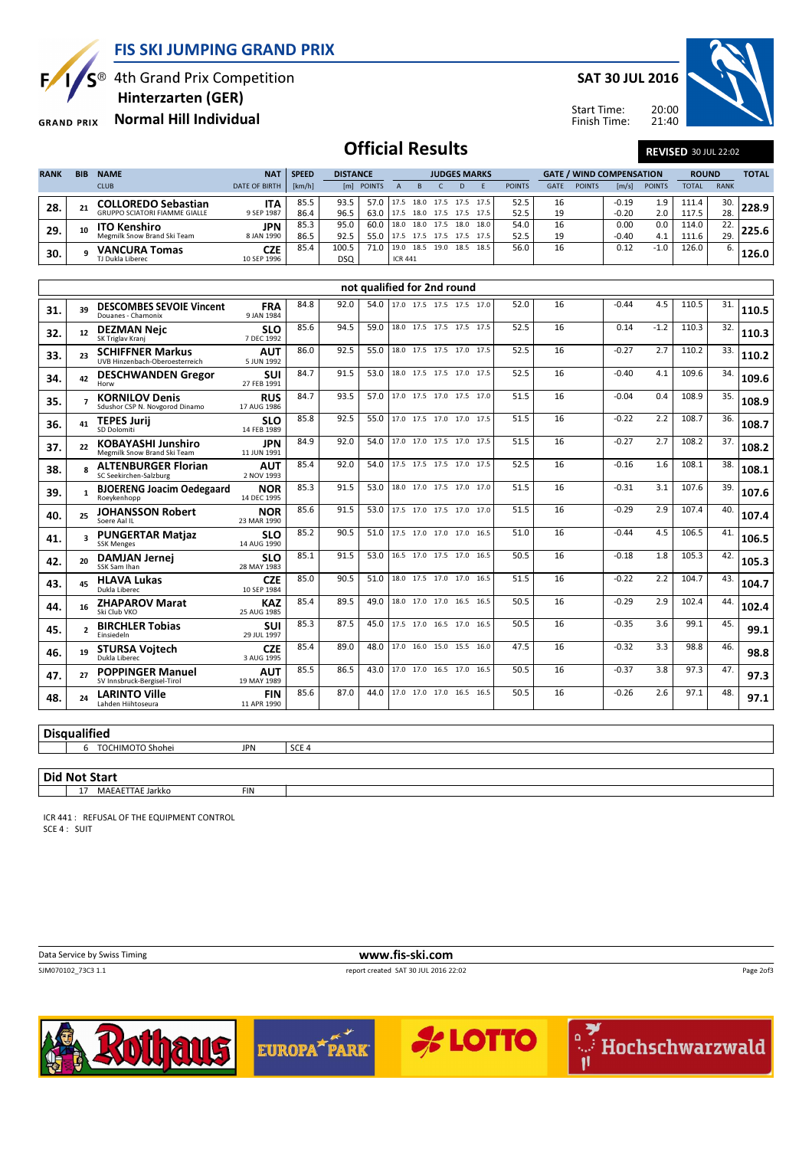FIS SKI JUMPING GRAND PRIX



 $S^{\circledast}$  4th Grand Prix Competition

Hinterzarten (GER)

Normal Hill Individual **GRAND PRIX** 

SAT 30 JUL 2016





## **Official Results** REVISED 30 JUL 22:02

| <b>RANK</b> | <b>BIB</b> | <b>NAME</b>                          | <b>NAT</b>           | <b>SPEED</b> | <b>DISTANCE</b> |            |                | <b>JUDGES MARKS</b> |                |      |           |               | <b>GATE / WIND COMPENSATION</b> |               |                       |               | <b>ROUND</b> |             | <b>TOTAL</b>           |
|-------------|------------|--------------------------------------|----------------------|--------------|-----------------|------------|----------------|---------------------|----------------|------|-----------|---------------|---------------------------------|---------------|-----------------------|---------------|--------------|-------------|------------------------|
|             |            | <b>CLUB</b>                          | <b>DATE OF BIRTH</b> | [km/h]       |                 | [m] POINTS |                |                     |                |      |           | <b>POINTS</b> | <b>GATE</b>                     | <b>POINTS</b> | $\lfloor m/s \rfloor$ | <b>POINTS</b> | <b>TOTAL</b> | <b>RANK</b> |                        |
| 28.         | 21         | <b>COLLOREDO Sebastian</b>           | <b>ITA</b>           | 85.5         | 93.5            |            | 17.5           | 18.0                | 17.5           | 17.5 | 17.5      | 52.5          | 16                              |               | $-0.19$               | 1.9           | 111.4        |             | $30.\overline{)}228.9$ |
|             |            | <b>GRUPPO SCIATORI FIAMME GIALLE</b> | 9 SEP 1987           | 86.4         | 96.5            | 63.0       | 17.5           | 18.0                | 17.5 17.5 17.5 |      |           | 52.5          | 19                              |               | $-0.20$               | 2.0           | 117.5        | 28.         |                        |
| 29.         | 10         | <b>ITO Kenshiro</b>                  | <b>JPN</b>           | 85.3         | 95.0            | 60.0       | 18.0           | 18.0                | 17.5           | 18.0 | 18.0      | 54.0          | 16                              |               | 0.00                  | 0.0           | 114.0        | 22.         | 225.6                  |
|             |            | Megmilk Snow Brand Ski Team          | 8 JAN 1990           | 86.5         | 92.5            | 55.0       | 17.5           | 17.5                | 17.5           |      | 17.5 17.5 | 52.5          | 19                              |               | $-0.40$               | 4.1           | 111.6        | 29.         |                        |
| 30.         |            | <b>VANCURA Tomas</b>                 | <b>CZE</b>           | 85.4         | 100.5           | 71.0       | 19.0           | 18.5                | 19.0           |      | 18.5 18.5 | 56.0          | 16                              |               | 0.12                  | $-1.0$        | 126.0        |             | 126.0                  |
|             |            | TJ Dukla Liberec                     | 10 SEP 1996          |              | <b>DSQ</b>      |            | <b>ICR 441</b> |                     |                |      |           |               |                                 |               |                       |               |              |             |                        |

|                     |    |                                                           |                           |      |      |      | not qualified for 2nd round |                          |  |      |    |         |        |       |     |       |
|---------------------|----|-----------------------------------------------------------|---------------------------|------|------|------|-----------------------------|--------------------------|--|------|----|---------|--------|-------|-----|-------|
| 31.                 | 39 | <b>DESCOMBES SEVOIE Vincent</b><br>Douanes - Chamonix     | <b>FRA</b><br>9 JAN 1984  | 84.8 | 92.0 | 54.0 |                             | 17.0 17.5 17.5 17.5 17.0 |  | 52.0 | 16 | $-0.44$ | 4.5    | 110.5 | 31. | 110.5 |
| 32.                 | 12 | <b>DEZMAN Neic</b><br>SK Triglav Kranj                    | <b>SLO</b><br>7 DEC 1992  | 85.6 | 94.5 | 59.0 |                             | 18.0 17.5 17.5 17.5 17.5 |  | 52.5 | 16 | 0.14    | $-1.2$ | 110.3 | 32. | 110.3 |
| 33.                 | 23 | <b>SCHIFFNER Markus</b><br>UVB Hinzenbach-Oberoesterreich | <b>AUT</b><br>5 JUN 1992  | 86.0 | 92.5 | 55.0 |                             | 18.0 17.5 17.5 17.0 17.5 |  | 52.5 | 16 | $-0.27$ | 2.7    | 110.2 | 33. | 110.2 |
| 34.                 | 42 | <b>DESCHWANDEN Gregor</b><br>Horw                         | SUI<br>27 FEB 1991        | 84.7 | 91.5 | 53.0 |                             | 18.0 17.5 17.5 17.0 17.5 |  | 52.5 | 16 | $-0.40$ | 4.1    | 109.6 | 34. | 109.6 |
| 35.                 |    | <b>KORNILOV Denis</b><br>Sdushor CSP N. Novgorod Dinamo   | <b>RUS</b><br>17 AUG 1986 | 84.7 | 93.5 | 57.0 |                             | 17.0 17.5 17.0 17.5 17.0 |  | 51.5 | 16 | $-0.04$ | 0.4    | 108.9 | 35. | 108.9 |
| 36.                 | 41 | <b>TEPES Jurij</b><br>SD Dolomiti                         | <b>SLO</b><br>14 FEB 1989 | 85.8 | 92.5 | 55.0 |                             | 17.0 17.5 17.0 17.0 17.5 |  | 51.5 | 16 | $-0.22$ | 2.2    | 108.7 | 36. | 108.7 |
| 37.                 | 22 | <b>KOBAYASHI Junshiro</b><br>Megmilk Snow Brand Ski Team  | <b>JPN</b><br>11 JUN 1991 | 84.9 | 92.0 | 54.0 |                             | 17.0 17.0 17.5 17.0 17.5 |  | 51.5 | 16 | $-0.27$ | 2.7    | 108.2 | 37. | 108.2 |
| 38.                 |    | <b>ALTENBURGER Florian</b><br>SC Seekirchen-Salzburg      | <b>AUT</b><br>2 NOV 1993  | 85.4 | 92.0 | 54.0 |                             | 17.5 17.5 17.5 17.0 17.5 |  | 52.5 | 16 | $-0.16$ | 1.6    | 108.1 | 38. | 108.1 |
| 39.                 |    | <b>BJOERENG Joacim Oedegaard</b><br>Roevkenhopp           | <b>NOR</b><br>14 DEC 1995 | 85.3 | 91.5 | 53.0 |                             | 18.0 17.0 17.5 17.0 17.0 |  | 51.5 | 16 | $-0.31$ | 3.1    | 107.6 | 39. | 107.6 |
| 40.                 | 25 | <b>JOHANSSON Robert</b><br>Soere Aal II                   | <b>NOR</b><br>23 MAR 1990 | 85.6 | 91.5 | 53.0 |                             | 17.5 17.0 17.5 17.0 17.0 |  | 51.5 | 16 | $-0.29$ | 2.9    | 107.4 | 40. | 107.4 |
| 41.                 |    | <b>PUNGERTAR Matjaz</b><br><b>SSK Menges</b>              | <b>SLO</b><br>14 AUG 1990 | 85.2 | 90.5 | 51.0 |                             | 17.5 17.0 17.0 17.0 16.5 |  | 51.0 | 16 | $-0.44$ | 4.5    | 106.5 | 41. | 106.5 |
| 42.                 | 20 | <b>DAMJAN Jernej</b><br>SSK Sam Ihan                      | <b>SLO</b><br>28 MAY 1983 | 85.1 | 91.5 | 53.0 |                             | 16.5 17.0 17.5 17.0 16.5 |  | 50.5 | 16 | $-0.18$ | 1.8    | 105.3 | 42. | 105.3 |
| 43.                 | 45 | <b>HLAVA Lukas</b><br>Dukla Liberec                       | <b>CZE</b><br>10 SEP 1984 | 85.0 | 90.5 | 51.0 |                             | 18.0 17.5 17.0 17.0 16.5 |  | 51.5 | 16 | $-0.22$ | 2.2    | 104.7 | 43. | 104.7 |
| 44.                 | 16 | <b>ZHAPAROV Marat</b><br>Ski Club VKO                     | <b>KAZ</b><br>25 AUG 1985 | 85.4 | 89.5 | 49.0 |                             | 18.0 17.0 17.0 16.5 16.5 |  | 50.5 | 16 | $-0.29$ | 2.9    | 102.4 | 44. | 102.4 |
| 45.                 |    | <b>BIRCHLER Tobias</b><br>Einsiedeln                      | SUI<br>29 JUL 1997        | 85.3 | 87.5 | 45.0 |                             | 17.5 17.0 16.5 17.0 16.5 |  | 50.5 | 16 | $-0.35$ | 3.6    | 99.1  | 45. | 99.1  |
| 46.                 | 19 | <b>STURSA Voitech</b><br>Dukla Liberec                    | <b>CZE</b><br>3 AUG 1995  | 85.4 | 89.0 | 48.0 |                             | 17.0 16.0 15.0 15.5 16.0 |  | 47.5 | 16 | $-0.32$ | 3.3    | 98.8  | 46. | 98.8  |
| 47.                 | 27 | <b>POPPINGER Manuel</b><br>SV Innsbruck-Bergisel-Tirol    | <b>AUT</b><br>19 MAY 1989 | 85.5 | 86.5 | 43.0 |                             | 17.0 17.0 16.5 17.0 16.5 |  | 50.5 | 16 | $-0.37$ | 3.8    | 97.3  | 47. | 97.3  |
| 48.                 | 24 | <b>LARINTO Ville</b><br>Lahden Hiihtoseura                | <b>FIN</b><br>11 APR 1990 | 85.6 | 87.0 | 44.0 |                             | 17.0 17.0 17.0 16.5 16.5 |  | 50.5 | 16 | $-0.26$ | 2.6    | 97.1  | 48. | 97.1  |
|                     |    |                                                           |                           |      |      |      |                             |                          |  |      |    |         |        |       |     |       |
| <b>Disqualified</b> |    |                                                           |                           |      |      |      |                             |                          |  |      |    |         |        |       |     |       |

6 TOCHIMOTO Shohei JPN SCE 4

#### Did Not Start

17 MAEAETTAE Jarkko FIN

ICR 441 : REFUSAL OF THE EQUIPMENT CONTROL SCE 4 : SUIT

Data Service by Swiss Timing **www.fis-ski.com**<br>
SIM070102 73C3 1.1<br>
TREPORT CREATED AT 30 JUL 2016 22 report created SAT 30 JUL 2016 22:02

Page 2of3